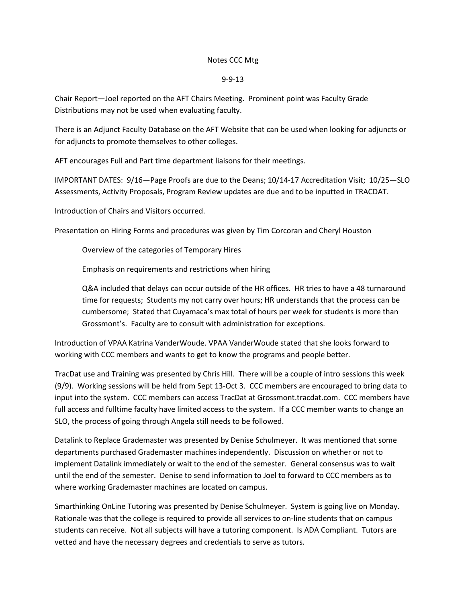## Notes CCC Mtg

## 9-9-13

Chair Report—Joel reported on the AFT Chairs Meeting. Prominent point was Faculty Grade Distributions may not be used when evaluating faculty.

There is an Adjunct Faculty Database on the AFT Website that can be used when looking for adjuncts or for adjuncts to promote themselves to other colleges.

AFT encourages Full and Part time department liaisons for their meetings.

IMPORTANT DATES: 9/16—Page Proofs are due to the Deans; 10/14-17 Accreditation Visit; 10/25—SLO Assessments, Activity Proposals, Program Review updates are due and to be inputted in TRACDAT.

Introduction of Chairs and Visitors occurred.

Presentation on Hiring Forms and procedures was given by Tim Corcoran and Cheryl Houston

Overview of the categories of Temporary Hires

Emphasis on requirements and restrictions when hiring

Q&A included that delays can occur outside of the HR offices. HR tries to have a 48 turnaround time for requests; Students my not carry over hours; HR understands that the process can be cumbersome; Stated that Cuyamaca's max total of hours per week for students is more than Grossmont's. Faculty are to consult with administration for exceptions.

Introduction of VPAA Katrina VanderWoude. VPAA VanderWoude stated that she looks forward to working with CCC members and wants to get to know the programs and people better.

TracDat use and Training was presented by Chris Hill. There will be a couple of intro sessions this week (9/9). Working sessions will be held from Sept 13-Oct 3. CCC members are encouraged to bring data to input into the system. CCC members can access TracDat at Grossmont.tracdat.com. CCC members have full access and fulltime faculty have limited access to the system. If a CCC member wants to change an SLO, the process of going through Angela still needs to be followed.

Datalink to Replace Grademaster was presented by Denise Schulmeyer. It was mentioned that some departments purchased Grademaster machines independently. Discussion on whether or not to implement Datalink immediately or wait to the end of the semester. General consensus was to wait until the end of the semester. Denise to send information to Joel to forward to CCC members as to where working Grademaster machines are located on campus.

Smarthinking OnLine Tutoring was presented by Denise Schulmeyer. System is going live on Monday. Rationale was that the college is required to provide all services to on-line students that on campus students can receive. Not all subjects will have a tutoring component. Is ADA Compliant. Tutors are vetted and have the necessary degrees and credentials to serve as tutors.